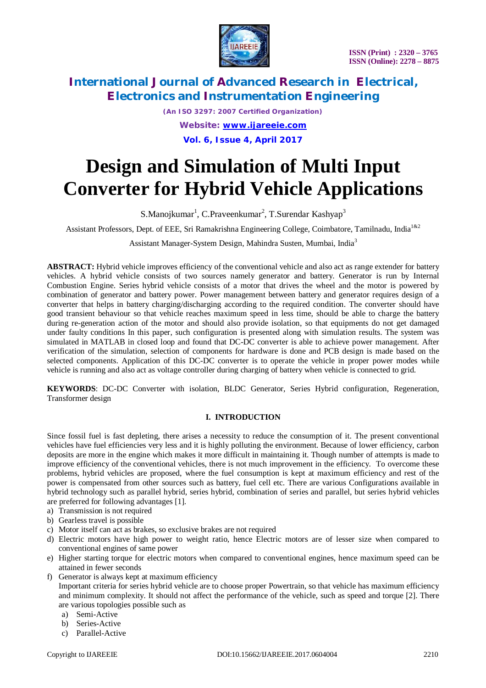



*(An ISO 3297: 2007 Certified Organization) Website: [www.ijareeie.com](http://www.ijareeie.com)* **Vol. 6, Issue 4, April 2017**

# **Design and Simulation of Multi Input Converter for Hybrid Vehicle Applications**

S.Manojkumar<sup>1</sup>, C.Praveenkumar<sup>2</sup>, T.Surendar Kashyap<sup>3</sup>

Assistant Professors, Dept. of EEE, Sri Ramakrishna Engineering College, Coimbatore, Tamilnadu. India<sup>1&2</sup>

Assistant Manager-System Design, Mahindra Susten, Mumbai, India<sup>3</sup>

**ABSTRACT:** Hybrid vehicle improves efficiency of the conventional vehicle and also act as range extender for battery vehicles. A hybrid vehicle consists of two sources namely generator and battery. Generator is run by Internal Combustion Engine. Series hybrid vehicle consists of a motor that drives the wheel and the motor is powered by combination of generator and battery power. Power management between battery and generator requires design of a converter that helps in battery charging/discharging according to the required condition. The converter should have good transient behaviour so that vehicle reaches maximum speed in less time, should be able to charge the battery during re-generation action of the motor and should also provide isolation, so that equipments do not get damaged under faulty conditions In this paper, such configuration is presented along with simulation results. The system was simulated in MATLAB in closed loop and found that DC-DC converter is able to achieve power management. After verification of the simulation, selection of components for hardware is done and PCB design is made based on the selected components. Application of this DC-DC converter is to operate the vehicle in proper power modes while vehicle is running and also act as voltage controller during charging of battery when vehicle is connected to grid.

**KEYWORDS**: DC-DC Converter with isolation, BLDC Generator, Series Hybrid configuration, Regeneration, Transformer design

### **I. INTRODUCTION**

Since fossil fuel is fast depleting, there arises a necessity to reduce the consumption of it. The present conventional vehicles have fuel efficiencies very less and it is highly polluting the environment. Because of lower efficiency, carbon deposits are more in the engine which makes it more difficult in maintaining it. Though number of attempts is made to improve efficiency of the conventional vehicles, there is not much improvement in the efficiency. To overcome these problems, hybrid vehicles are proposed, where the fuel consumption is kept at maximum efficiency and rest of the power is compensated from other sources such as battery, fuel cell etc. There are various Configurations available in hybrid technology such as parallel hybrid, series hybrid, combination of series and parallel, but series hybrid vehicles are preferred for following advantages [1].

- a) Transmission is not required
- b) Gearless travel is possible
- c) Motor itself can act as brakes, so exclusive brakes are not required
- d) Electric motors have high power to weight ratio, hence Electric motors are of lesser size when compared to conventional engines of same power
- e) Higher starting torque for electric motors when compared to conventional engines, hence maximum speed can be attained in fewer seconds
- f) Generator is always kept at maximum efficiency Important criteria for series hybrid vehicle are to choose proper Powertrain, so that vehicle has maximum efficiency and minimum complexity. It should not affect the performance of the vehicle, such as speed and torque [2]. There
	- are various topologies possible such as a) Semi-Active
	-
	- b) Series-Active
	- c) Parallel-Active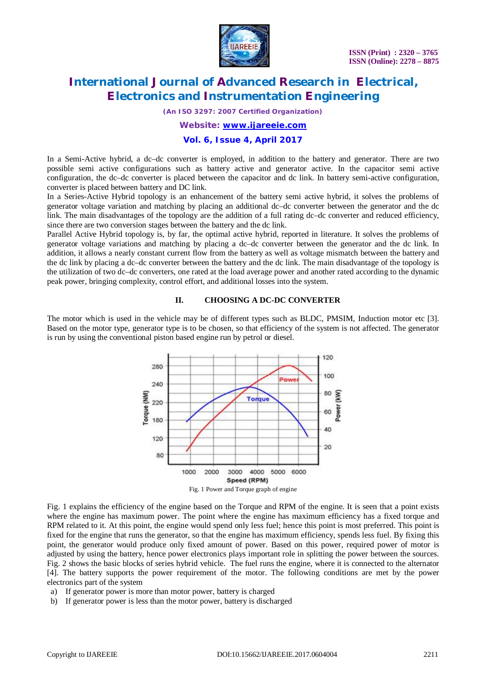

*(An ISO 3297: 2007 Certified Organization)*

*Website: [www.ijareeie.com](http://www.ijareeie.com)*

#### **Vol. 6, Issue 4, April 2017**

In a Semi-Active hybrid, a dc–dc converter is employed, in addition to the battery and generator. There are two possible semi active configurations such as battery active and generator active. In the capacitor semi active configuration, the dc–dc converter is placed between the capacitor and dc link. In battery semi-active configuration, converter is placed between battery and DC link.

In a Series-Active Hybrid topology is an enhancement of the battery semi active hybrid, it solves the problems of generator voltage variation and matching by placing an additional dc–dc converter between the generator and the dc link. The main disadvantages of the topology are the addition of a full rating dc–dc converter and reduced efficiency, since there are two conversion stages between the battery and the dc link.

Parallel Active Hybrid topology is, by far, the optimal active hybrid, reported in literature. It solves the problems of generator voltage variations and matching by placing a dc–dc converter between the generator and the dc link. In addition, it allows a nearly constant current flow from the battery as well as voltage mismatch between the battery and the dc link by placing a dc–dc converter between the battery and the dc link. The main disadvantage of the topology is the utilization of two dc–dc converters, one rated at the load average power and another rated according to the dynamic peak power, bringing complexity, control effort, and additional losses into the system.

#### **II. CHOOSING A DC-DC CONVERTER**

The motor which is used in the vehicle may be of different types such as BLDC, PMSIM, Induction motor etc [3]. Based on the motor type, generator type is to be chosen, so that efficiency of the system is not affected. The generator is run by using the conventional piston based engine run by petrol or diesel.



Fig. 1 explains the efficiency of the engine based on the Torque and RPM of the engine. It is seen that a point exists where the engine has maximum power. The point where the engine has maximum efficiency has a fixed torque and RPM related to it. At this point, the engine would spend only less fuel; hence this point is most preferred. This point is fixed for the engine that runs the generator, so that the engine has maximum efficiency, spends less fuel. By fixing this point, the generator would produce only fixed amount of power. Based on this power, required power of motor is adjusted by using the battery, hence power electronics plays important role in splitting the power between the sources. Fig. 2 shows the basic blocks of series hybrid vehicle. The fuel runs the engine, where it is connected to the alternator [4]. The battery supports the power requirement of the motor. The following conditions are met by the power electronics part of the system

- a) If generator power is more than motor power, battery is charged
- b) If generator power is less than the motor power, battery is discharged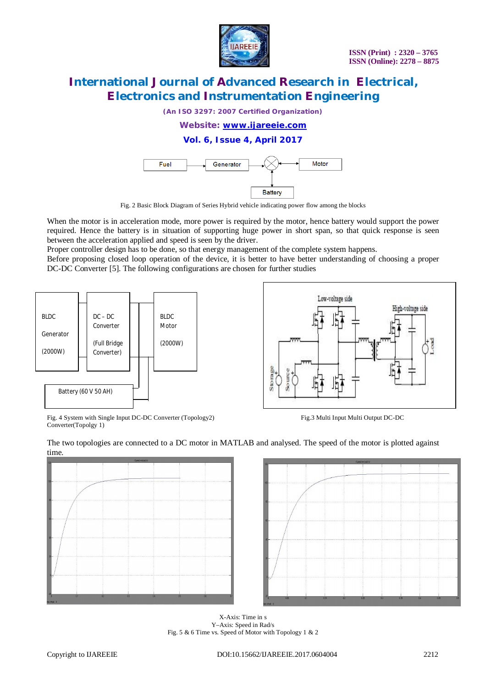

*(An ISO 3297: 2007 Certified Organization)*

*Website: [www.ijareeie.com](http://www.ijareeie.com)*

### **Vol. 6, Issue 4, April 2017**



Fig. 2 Basic Block Diagram of Series Hybrid vehicle indicating power flow among the blocks

When the motor is in acceleration mode, more power is required by the motor, hence battery would support the power required. Hence the battery is in situation of supporting huge power in short span, so that quick response is seen between the acceleration applied and speed is seen by the driver.

Proper controller design has to be done, so that energy management of the complete system happens.

Before proposing closed loop operation of the device, it is better to have better understanding of choosing a proper DC-DC Converter [5]. The following configurations are chosen for further studies





Fig. 4 System with Single Input DC-DC Converter (Topology2) Fig.3 Multi Input Multi Output DC-DC Converter(Topolgy 1)





X-Axis: Time in s Y–Axis: Speed in Rad/s Fig. 5 & 6 Time vs. Speed of Motor with Topology 1 & 2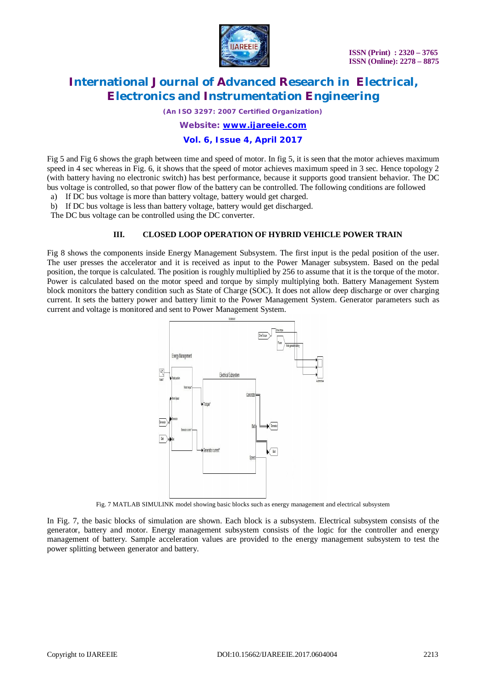

*(An ISO 3297: 2007 Certified Organization)*

*Website: [www.ijareeie.com](http://www.ijareeie.com)*

### **Vol. 6, Issue 4, April 2017**

Fig 5 and Fig 6 shows the graph between time and speed of motor. In fig 5, it is seen that the motor achieves maximum speed in 4 sec whereas in Fig. 6, it shows that the speed of motor achieves maximum speed in 3 sec. Hence topology 2 (with battery having no electronic switch) has best performance, because it supports good transient behavior. The DC bus voltage is controlled, so that power flow of the battery can be controlled. The following conditions are followed

a) If DC bus voltage is more than battery voltage, battery would get charged. b) If DC bus voltage is less than battery voltage, battery would get discharged.

The DC bus voltage can be controlled using the DC converter.

#### **III. CLOSED LOOP OPERATION OF HYBRID VEHICLE POWER TRAIN**

Fig 8 shows the components inside Energy Management Subsystem. The first input is the pedal position of the user. The user presses the accelerator and it is received as input to the Power Manager subsystem. Based on the pedal position, the torque is calculated. The position is roughly multiplied by 256 to assume that it is the torque of the motor. Power is calculated based on the motor speed and torque by simply multiplying both. Battery Management System block monitors the battery condition such as State of Charge (SOC). It does not allow deep discharge or over charging current. It sets the battery power and battery limit to the Power Management System. Generator parameters such as current and voltage is monitored and sent to Power Management System.



Fig. 7 MATLAB SIMULINK model showing basic blocks such as energy management and electrical subsystem

In Fig. 7, the basic blocks of simulation are shown. Each block is a subsystem. Electrical subsystem consists of the generator, battery and motor. Energy management subsystem consists of the logic for the controller and energy management of battery. Sample acceleration values are provided to the energy management subsystem to test the power splitting between generator and battery.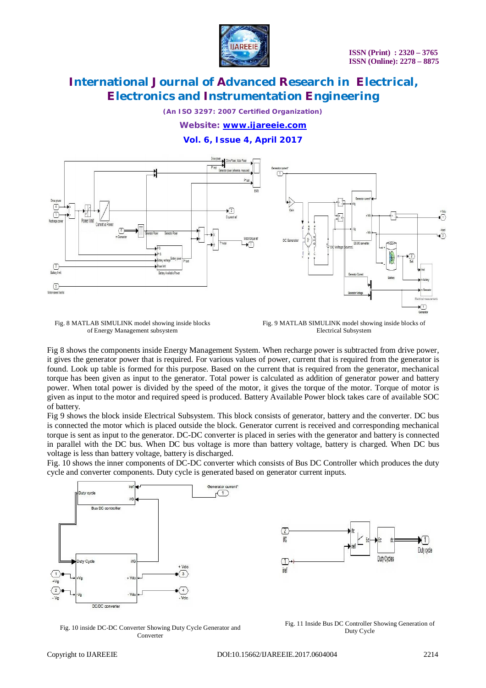

*(An ISO 3297: 2007 Certified Organization)*

*Website: [www.ijareeie.com](http://www.ijareeie.com)*

**Vol. 6, Issue 4, April 2017**



Fig. 8 MATLAB SIMULINK model showing inside blocks of Energy Management subsystem

Fig. 9 MATLAB SIMULINK model showing inside blocks of Electrical Subsystem

Fig 8 shows the components inside Energy Management System. When recharge power is subtracted from drive power, it gives the generator power that is required. For various values of power, current that is required from the generator is found. Look up table is formed for this purpose. Based on the current that is required from the generator, mechanical torque has been given as input to the generator. Total power is calculated as addition of generator power and battery power. When total power is divided by the speed of the motor, it gives the torque of the motor. Torque of motor is given as input to the motor and required speed is produced. Battery Available Power block takes care of available SOC of battery.

Fig 9 shows the block inside Electrical Subsystem. This block consists of generator, battery and the converter. DC bus is connected the motor which is placed outside the block. Generator current is received and corresponding mechanical torque is sent as input to the generator. DC-DC converter is placed in series with the generator and battery is connected in parallel with the DC bus. When DC bus voltage is more than battery voltage, battery is charged. When DC bus voltage is less than battery voltage, battery is discharged.

Fig. 10 shows the inner components of DC-DC converter which consists of Bus DC Controller which produces the duty cycle and converter components. Duty cycle is generated based on generator current inputs.





Fig. 10 inside DC-DC Converter Showing Duty Cycle Generator and Converter

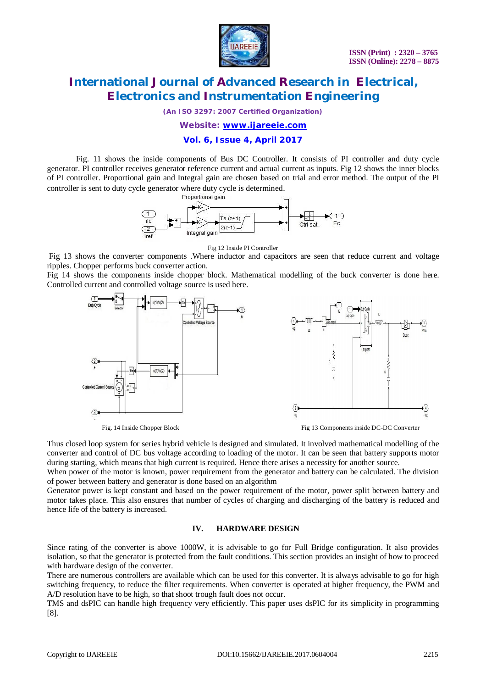

*(An ISO 3297: 2007 Certified Organization)*

*Website: [www.ijareeie.com](http://www.ijareeie.com)*

#### **Vol. 6, Issue 4, April 2017**

Fig. 11 shows the inside components of Bus DC Controller. It consists of PI controller and duty cycle generator. PI controller receives generator reference current and actual current as inputs. Fig 12 shows the inner blocks of PI controller. Proportional gain and Integral gain are chosen based on trial and error method. The output of the PI controller is sent to duty cycle generator where duty cycle is determined.<br>-



Fig 12 Inside PI Controller

Fig 13 shows the converter components .Where inductor and capacitors are seen that reduce current and voltage ripples. Chopper performs buck converter action.

Fig 14 shows the components inside chopper block. Mathematical modelling of the buck converter is done here. Controlled current and controlled voltage source is used here.



Thus closed loop system for series hybrid vehicle is designed and simulated. It involved mathematical modelling of the converter and control of DC bus voltage according to loading of the motor. It can be seen that battery supports motor during starting, which means that high current is required. Hence there arises a necessity for another source.

When power of the motor is known, power requirement from the generator and battery can be calculated. The division of power between battery and generator is done based on an algorithm

Generator power is kept constant and based on the power requirement of the motor, power split between battery and motor takes place. This also ensures that number of cycles of charging and discharging of the battery is reduced and hence life of the battery is increased.

#### **IV. HARDWARE DESIGN**

Since rating of the converter is above 1000W, it is advisable to go for Full Bridge configuration. It also provides isolation, so that the generator is protected from the fault conditions. This section provides an insight of how to proceed with hardware design of the converter.

There are numerous controllers are available which can be used for this converter. It is always advisable to go for high switching frequency, to reduce the filter requirements. When converter is operated at higher frequency, the PWM and A/D resolution have to be high, so that shoot trough fault does not occur.

TMS and dsPIC can handle high frequency very efficiently. This paper uses dsPIC for its simplicity in programming [8].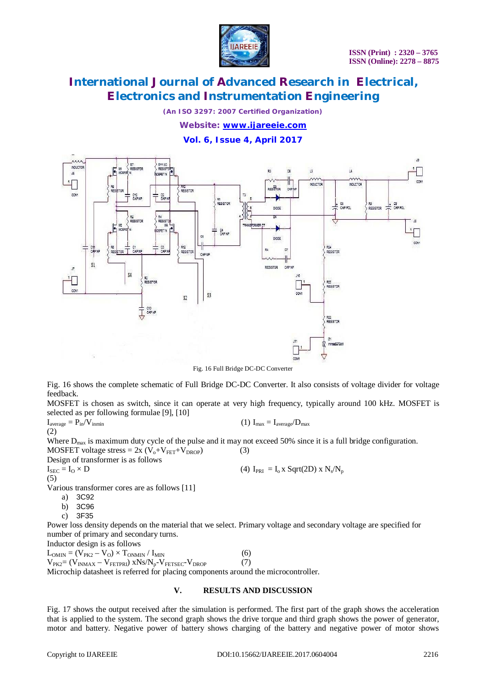

*(An ISO 3297: 2007 Certified Organization)*

*Website: [www.ijareeie.com](http://www.ijareeie.com)*

**Vol. 6, Issue 4, April 2017**



Fig. 16 Full Bridge DC-DC Converter

Fig. 16 shows the complete schematic of Full Bridge DC-DC Converter. It also consists of voltage divider for voltage feedback.

MOSFET is chosen as switch, since it can operate at very high frequency, typically around 100 kHz. MOSFET is selected as per following formulae [9], [10]

 $I_{\text{average}} = P_{\text{in}} / V_{\text{inmin}}$  (1)  $I_{\text{max}} = I_{\text{average}} / D_{\text{max}}$ 

Where  $D_{\text{max}}$  is maximum duty cycle of the pulse and it may not exceed 50% since it is a full bridge configuration.

MOSFET voltage stress =  $2x (V_0+V_{FET}+V_{DROP})$  (3) Design of transformer is as follows  $I_{\text{SEC}} = I_0 \times D$  (4)  $I_{\text{PRI}} = I_0 \times Sqrt(2D) \times N_s/N_p$ (5)

Various transformer cores are as follows [11]

a) 3C92

(2)

- b) 3C96
- c) 3F35

Power loss density depends on the material that we select. Primary voltage and secondary voltage are specified for number of primary and secondary turns.

Inductor design is as follows  $L_{OMIN} = (V_{PK2} - V_0) \times T_{ONMIN} / I_{MIN}$  (6)  $V_{PK2}=(V_{INMAX}-V_{FETPRI})$  xNs/ $N_p-V_{FETSEC}-V_{DROP}$  (7) Microchip datasheet is referred for placing components around the microcontroller.

#### **V. RESULTS AND DISCUSSION**

Fig. 17 shows the output received after the simulation is performed. The first part of the graph shows the acceleration that is applied to the system. The second graph shows the drive torque and third graph shows the power of generator, motor and battery. Negative power of battery shows charging of the battery and negative power of motor shows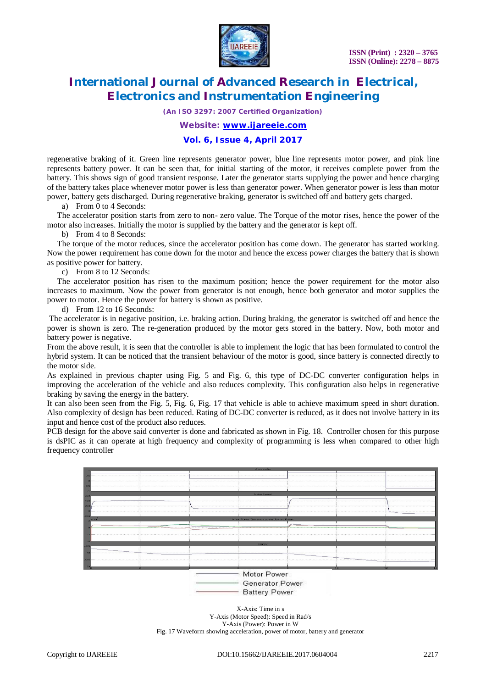

*(An ISO 3297: 2007 Certified Organization)*

*Website: [www.ijareeie.com](http://www.ijareeie.com)*

#### **Vol. 6, Issue 4, April 2017**

regenerative braking of it. Green line represents generator power, blue line represents motor power, and pink line represents battery power. It can be seen that, for initial starting of the motor, it receives complete power from the battery. This shows sign of good transient response. Later the generator starts supplying the power and hence charging of the battery takes place whenever motor power is less than generator power. When generator power is less than motor power, battery gets discharged. During regenerative braking, generator is switched off and battery gets charged.

a) From 0 to 4 Seconds:

 The accelerator position starts from zero to non- zero value. The Torque of the motor rises, hence the power of the motor also increases. Initially the motor is supplied by the battery and the generator is kept off.

b) From 4 to 8 Seconds:

 The torque of the motor reduces, since the accelerator position has come down. The generator has started working. Now the power requirement has come down for the motor and hence the excess power charges the battery that is shown as positive power for battery.

c) From 8 to 12 Seconds:

 The accelerator position has risen to the maximum position; hence the power requirement for the motor also increases to maximum. Now the power from generator is not enough, hence both generator and motor supplies the power to motor. Hence the power for battery is shown as positive.

d) From 12 to 16 Seconds:

The accelerator is in negative position, i.e. braking action. During braking, the generator is switched off and hence the power is shown is zero. The re-generation produced by the motor gets stored in the battery. Now, both motor and battery power is negative.

From the above result, it is seen that the controller is able to implement the logic that has been formulated to control the hybrid system. It can be noticed that the transient behaviour of the motor is good, since battery is connected directly to the motor side.

As explained in previous chapter using Fig. 5 and Fig. 6, this type of DC-DC converter configuration helps in improving the acceleration of the vehicle and also reduces complexity. This configuration also helps in regenerative braking by saving the energy in the battery.

It can also been seen from the Fig. 5, Fig. 6, Fig. 17 that vehicle is able to achieve maximum speed in short duration. Also complexity of design has been reduced. Rating of DC-DC converter is reduced, as it does not involve battery in its input and hence cost of the product also reduces.

PCB design for the above said converter is done and fabricated as shown in Fig. 18. Controller chosen for this purpose is dsPIC as it can operate at high frequency and complexity of programming is less when compared to other high frequency controller

|             |                        | Accelerator                                 |              |                |         |
|-------------|------------------------|---------------------------------------------|--------------|----------------|---------|
|             |                        |                                             |              |                |         |
|             |                        |                                             | .            |                |         |
|             |                        |                                             |              |                |         |
| m           |                        |                                             |              |                |         |
|             |                        | Motor Speed                                 |              |                |         |
| 20 T        |                        |                                             |              |                |         |
|             |                        |                                             |              | .              |         |
| 200         |                        |                                             |              |                | <b></b> |
|             |                        |                                             |              |                |         |
| 200         |                        |                                             |              |                |         |
| $\times 10$ |                        | Motor Power, Generator power, Battery Power |              |                |         |
|             |                        |                                             |              |                |         |
|             |                        |                                             |              |                |         |
|             |                        |                                             |              |                |         |
|             |                        |                                             |              |                |         |
|             |                        | SOC(3)                                      |              |                |         |
|             |                        |                                             |              |                |         |
|             |                        |                                             |              |                |         |
|             |                        |                                             |              |                |         |
|             |                        |                                             |              |                |         |
|             |                        |                                             | $\mathbf{R}$ | n <sub>n</sub> | 12      |
|             | Motor Power            |                                             |              |                |         |
|             |                        |                                             |              |                |         |
|             | <b>Generator Power</b> |                                             |              |                |         |

**Battery Power** 

X-Axis: Time in s Y-Axis (Motor Speed): Speed in Rad/s Y-Axis (Power): Power in W Fig. 17 Waveform showing acceleration, power of motor, battery and generator